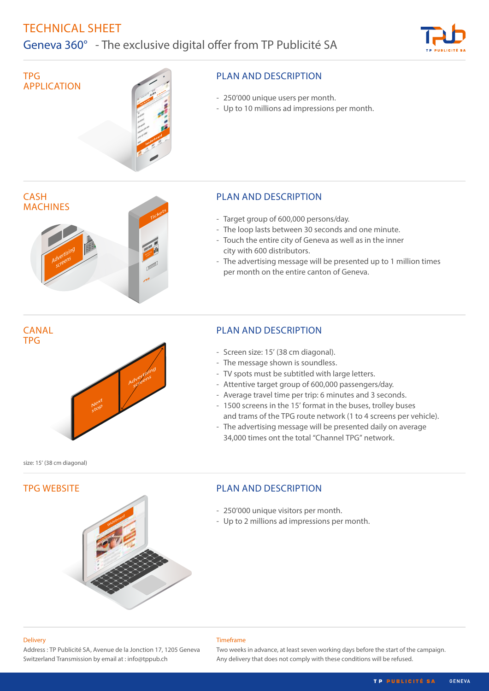

TPG APPLICATION



### PLAN AND DESCRIPTION

- 250'000 unique users per month.
- Up to 10 millions ad impressions per month.



## PLAN AND DESCRIPTION

- Target group of 600,000 persons/day.
- The loop lasts between 30 seconds and one minute.
- Touch the entire city of Geneva as well as in the inner city with 600 distributors.
- The advertising message will be presented up to 1 million times per month on the entire canton of Geneva.



# PLAN AND DESCRIPTION

- Screen size: 15' (38 cm diagonal).
- The message shown is soundless.
- TV spots must be subtitled with large letters.
- Attentive target group of 600,000 passengers/day.
- Average travel time per trip: 6 minutes and 3 seconds.
- 1500 screens in the 15' format in the buses, trolley buses and trams of the TPG route network (1 to 4 screens per vehicle).
- The advertising message will be presented daily on average 34,000 times ont the total "Channel TPG" network.

size: 15' (38 cm diagonal)

## TPG WEBSITE

## PLAN AND DESCRIPTION

**Timeframe**

- 250'000 unique visitors per month.
- Up to 2 millions ad impressions per month.

## **Delivery**

Address : TP Publicité SA, Avenue de la Jonction 17, 1205 Geneva Switzerland Transmission by email at : info@tppub.ch

**Wideboard**

### Two weeks in advance, at least seven working days before the start of the campaign. Any delivery that does not comply with these conditions will be refused.